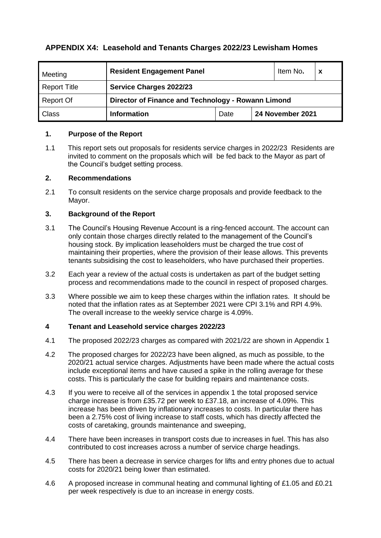## **APPENDIX X4: Leasehold and Tenants Charges 2022/23 Lewisham Homes**

| Meeting             | <b>Resident Engagement Panel</b>                   |      |                  | Item No. |  |  |  |  |  |
|---------------------|----------------------------------------------------|------|------------------|----------|--|--|--|--|--|
| <b>Report Title</b> | <b>Service Charges 2022/23</b>                     |      |                  |          |  |  |  |  |  |
| Report Of           | Director of Finance and Technology - Rowann Limond |      |                  |          |  |  |  |  |  |
| <b>Class</b>        | <b>Information</b>                                 | Date | 24 November 2021 |          |  |  |  |  |  |

#### **1. Purpose of the Report**

1.1 This report sets out proposals for residents service charges in 2022/23 Residents are invited to comment on the proposals which will be fed back to the Mayor as part of the Council's budget setting process.

### **2. Recommendations**

2.1 To consult residents on the service charge proposals and provide feedback to the Mayor.

### **3. Background of the Report**

- 3.1 The Council's Housing Revenue Account is a ring-fenced account. The account can only contain those charges directly related to the management of the Council's housing stock. By implication leaseholders must be charged the true cost of maintaining their properties, where the provision of their lease allows. This prevents tenants subsidising the cost to leaseholders, who have purchased their properties.
- 3.2 Each year a review of the actual costs is undertaken as part of the budget setting process and recommendations made to the council in respect of proposed charges.
- 3.3 Where possible we aim to keep these charges within the inflation rates. It should be noted that the inflation rates as at September 2021 were CPI 3.1% and RPI 4.9%. The overall increase to the weekly service charge is 4.09%.

## **4 Tenant and Leasehold service charges 2022/23**

- 4.1 The proposed 2022/23 charges as compared with 2021/22 are shown in Appendix 1
- 4.2 The proposed charges for 2022/23 have been aligned, as much as possible, to the 2020/21 actual service charges. Adjustments have been made where the actual costs include exceptional items and have caused a spike in the rolling average for these costs. This is particularly the case for building repairs and maintenance costs.
- 4.3 If you were to receive all of the services in appendix 1 the total proposed service charge increase is from £35.72 per week to £37.18, an increase of 4.09%. This increase has been driven by inflationary increases to costs. In particular there has been a 2.75% cost of living increase to staff costs, which has directly affected the costs of caretaking, grounds maintenance and sweeping,
- 4.4 There have been increases in transport costs due to increases in fuel. This has also contributed to cost increases across a number of service charge headings.
- 4.5 There has been a decrease in service charges for lifts and entry phones due to actual costs for 2020/21 being lower than estimated.
- 4.6 A proposed increase in communal heating and communal lighting of £1.05 and £0.21 per week respectively is due to an increase in energy costs.